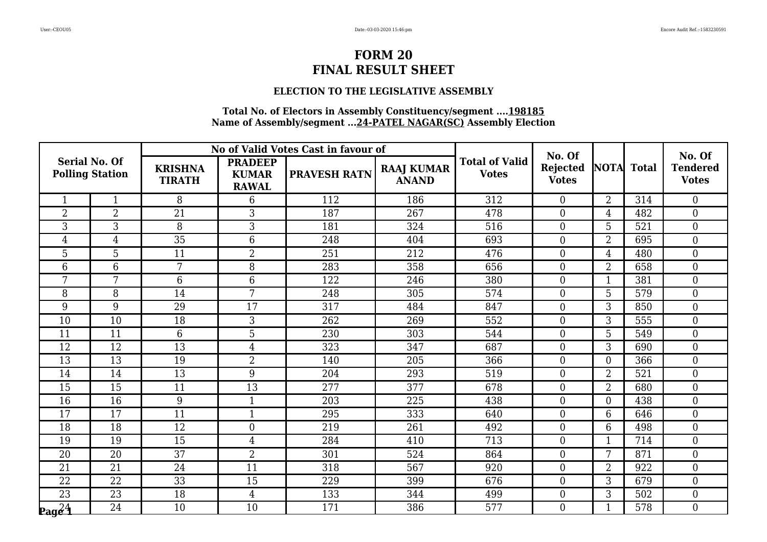### **ELECTION TO THE LEGISLATIVE ASSEMBLY**

|                               |                        |                                 |                                                | No of Valid Votes Cast in favour of |                                   |                                       | No. Of                          |                |     | No. Of                          |
|-------------------------------|------------------------|---------------------------------|------------------------------------------------|-------------------------------------|-----------------------------------|---------------------------------------|---------------------------------|----------------|-----|---------------------------------|
| <b>Serial No. Of</b>          | <b>Polling Station</b> | <b>KRISHNA</b><br><b>TIRATH</b> | <b>PRADEEP</b><br><b>KUMAR</b><br><b>RAWAL</b> | <b>PRAVESH RATN</b>                 | <b>RAAJ KUMAR</b><br><b>ANAND</b> | <b>Total of Valid</b><br><b>Votes</b> | <b>Rejected</b><br><b>Votes</b> | NOTA Total     |     | <b>Tendered</b><br><b>Votes</b> |
| $\mathbf{1}$                  | $\mathbf{1}$           | 8                               | 6                                              | 112                                 | 186                               | 312                                   | $\Omega$                        | 2              | 314 | $\overline{0}$                  |
| $\overline{2}$                | $\overline{2}$         | 21                              | 3                                              | 187                                 | 267                               | 478                                   | $\overline{0}$                  | $\overline{4}$ | 482 | $\overline{0}$                  |
| 3                             | 3                      | 8                               | 3                                              | 181                                 | 324                               | 516                                   | $\boldsymbol{0}$                | 5              | 521 | $\overline{0}$                  |
| $\overline{4}$                | $\overline{4}$         | $\overline{35}$                 | 6                                              | 248                                 | 404                               | 693                                   | $\overline{0}$                  | $\overline{2}$ | 695 | $\overline{0}$                  |
| 5                             | 5                      | 11                              | $\overline{2}$                                 | 251                                 | 212                               | 476                                   | $\overline{0}$                  | 4              | 480 | $\overline{0}$                  |
| 6                             | 6                      | 7                               | 8                                              | 283                                 | 358                               | 656                                   | $\overline{0}$                  | $\overline{2}$ | 658 | $\overline{0}$                  |
| 7                             | 7                      | 6                               | 6                                              | 122                                 | 246                               | 380                                   | $\overline{0}$                  | $\mathbf 1$    | 381 | $\overline{0}$                  |
| 8                             | 8                      | 14                              | 7                                              | 248                                 | 305                               | 574                                   | $\boldsymbol{0}$                | 5              | 579 | $\boldsymbol{0}$                |
| 9                             | 9                      | 29                              | 17                                             | 317                                 | 484                               | 847                                   | $\overline{0}$                  | 3              | 850 | $\overline{0}$                  |
| 10                            | 10                     | 18                              | 3                                              | 262                                 | 269                               | 552                                   | $\overline{0}$                  | 3              | 555 | $\overline{0}$                  |
| 11                            | 11                     | 6                               | 5                                              | 230                                 | 303                               | 544                                   | $\overline{0}$                  | 5              | 549 | $\overline{0}$                  |
| 12                            | 12                     | 13                              | $\overline{4}$                                 | 323                                 | 347                               | 687                                   | $\boldsymbol{0}$                | 3              | 690 | $\overline{0}$                  |
| 13                            | 13                     | 19                              | $\overline{2}$                                 | 140                                 | 205                               | 366                                   | $\overline{0}$                  | $\theta$       | 366 | $\overline{0}$                  |
| 14                            | 14                     | 13                              | 9                                              | 204                                 | 293                               | 519                                   | $\overline{0}$                  | $\overline{2}$ | 521 | $\overline{0}$                  |
| 15                            | 15                     | 11                              | 13                                             | 277                                 | 377                               | 678                                   | $\boldsymbol{0}$                | $\overline{2}$ | 680 | $\overline{0}$                  |
| 16                            | 16                     | 9                               | $\mathbf{1}$                                   | 203                                 | 225                               | 438                                   | $\Omega$                        | $\theta$       | 438 | $\overline{0}$                  |
| 17                            | 17                     | 11                              | $\mathbf{1}$                                   | 295                                 | 333                               | 640                                   | $\overline{0}$                  | 6              | 646 | $\overline{0}$                  |
| 18                            | 18                     | 12                              | $\boldsymbol{0}$                               | 219                                 | 261                               | 492                                   | $\boldsymbol{0}$                | 6              | 498 | $\boldsymbol{0}$                |
| 19                            | 19                     | $\overline{15}$                 | $\overline{4}$                                 | 284                                 | 410                               | $\overline{713}$                      | $\overline{0}$                  | 1              | 714 | $\overline{0}$                  |
| 20                            | 20                     | 37                              | $\overline{2}$                                 | 301                                 | 524                               | 864                                   | $\overline{0}$                  |                | 871 | $\overline{0}$                  |
| 21                            | 21                     | 24                              | 11                                             | 318                                 | 567                               | 920                                   | $\overline{0}$                  | $\overline{2}$ | 922 | $\overline{0}$                  |
| 22                            | 22                     | 33                              | 15                                             | 229                                 | 399                               | 676                                   | $\overline{0}$                  | 3              | 679 | $\overline{0}$                  |
| 23                            | 23                     | 18                              | $\overline{4}$                                 | 133                                 | 344                               | 499                                   | $\boldsymbol{0}$                | 3              | 502 | $\boldsymbol{0}$                |
| $\log \overline{\hat{c}_1^4}$ | 24                     | 10                              | 10                                             | 171                                 | 386                               | 577                                   | $\overline{0}$                  |                | 578 | $\boldsymbol{0}$                |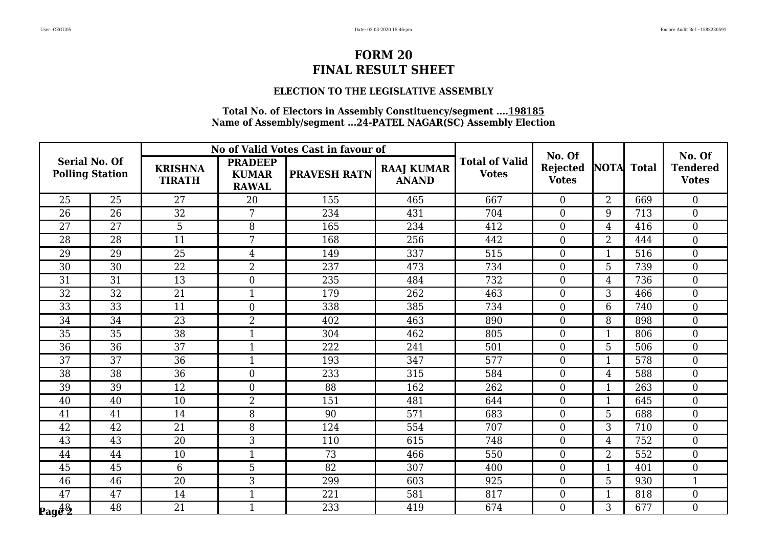#### **ELECTION TO THE LEGISLATIVE ASSEMBLY**

|                              |                                                |                                 |                                                | No of Valid Votes Cast in favour of |                                   |                                       | No. Of                          |                |     | No. Of                          |
|------------------------------|------------------------------------------------|---------------------------------|------------------------------------------------|-------------------------------------|-----------------------------------|---------------------------------------|---------------------------------|----------------|-----|---------------------------------|
|                              | <b>Serial No. Of</b><br><b>Polling Station</b> | <b>KRISHNA</b><br><b>TIRATH</b> | <b>PRADEEP</b><br><b>KUMAR</b><br><b>RAWAL</b> | <b>PRAVESH RATN</b>                 | <b>RAAJ KUMAR</b><br><b>ANAND</b> | <b>Total of Valid</b><br><b>Votes</b> | <b>Rejected</b><br><b>Votes</b> | NOTA Total     |     | <b>Tendered</b><br><b>Votes</b> |
| 25                           | 25                                             | 27                              | 20                                             | 155                                 | 465                               | 667                                   | $\Omega$                        | $\overline{2}$ | 669 | $\overline{0}$                  |
| 26                           | 26                                             | 32                              | 7                                              | 234                                 | 431                               | 704                                   | $\overline{0}$                  | 9              | 713 | $\boldsymbol{0}$                |
| 27                           | 27                                             | 5                               | 8                                              | 165                                 | 234                               | 412                                   | $\boldsymbol{0}$                | $\overline{4}$ | 416 | $\overline{0}$                  |
| 28                           | 28                                             | 11                              | $7\overline{ }$                                | 168                                 | 256                               | 442                                   | $\overline{0}$                  | $\overline{2}$ | 444 | $\overline{0}$                  |
| 29                           | $\overline{29}$                                | 25                              | $\overline{4}$                                 | 149                                 | 337                               | 515                                   | $\overline{0}$                  |                | 516 | $\overline{0}$                  |
| 30                           | 30                                             | 22                              | $\overline{2}$                                 | 237                                 | 473                               | 734                                   | $\boldsymbol{0}$                | 5              | 739 | $\overline{0}$                  |
| 31                           | 31                                             | 13                              | $\overline{0}$                                 | 235                                 | 484                               | 732                                   | $\overline{0}$                  | 4              | 736 | $\overline{0}$                  |
| $\overline{32}$              | 32                                             | 21                              | 1                                              | 179                                 | 262                               | 463                                   | $\overline{0}$                  | 3              | 466 | $\overline{0}$                  |
| $\overline{33}$              | $\overline{33}$                                | 11                              | $\overline{0}$                                 | 338                                 | 385                               | 734                                   | $\overline{0}$                  | 6              | 740 | $\overline{0}$                  |
| 34                           | 34                                             | 23                              | $\overline{2}$                                 | 402                                 | 463                               | 890                                   | $\overline{0}$                  | 8              | 898 | $\overline{0}$                  |
| 35                           | 35                                             | 38                              | $\mathbf{1}$                                   | 304                                 | 462                               | 805                                   | $\boldsymbol{0}$                |                | 806 | $\overline{0}$                  |
| 36                           | 36                                             | 37                              |                                                | 222                                 | 241                               | 501                                   | $\theta$                        | 5              | 506 | $\overline{0}$                  |
| 37                           | 37                                             | 36                              |                                                | 193                                 | 347                               | 577                                   | $\overline{0}$                  |                | 578 | $\overline{0}$                  |
| 38                           | 38                                             | 36                              | $\overline{0}$                                 | 233                                 | 315                               | 584                                   | $\overline{0}$                  | 4              | 588 | $\overline{0}$                  |
| 39                           | 39                                             | 12                              | $\overline{0}$                                 | 88                                  | 162                               | 262                                   | $\overline{0}$                  | $\mathbf{1}$   | 263 | $\overline{0}$                  |
| 40                           | 40                                             | 10                              | $\overline{2}$                                 | 151                                 | 481                               | 644                                   | $\overline{0}$                  |                | 645 | $\Omega$                        |
| 41                           | 41                                             | 14                              | 8                                              | 90                                  | 571                               | 683                                   | $\overline{0}$                  | 5              | 688 | $\overline{0}$                  |
| 42                           | $\overline{42}$                                | $\overline{21}$                 | 8                                              | 124                                 | 554                               | 707                                   | $\overline{0}$                  | 3              | 710 | $\overline{0}$                  |
| 43                           | 43                                             | 20                              | 3                                              | 110                                 | 615                               | 748                                   | $\overline{0}$                  | 4              | 752 | $\overline{0}$                  |
| 44                           | 44                                             | 10                              |                                                | 73                                  | 466                               | 550                                   | $\overline{0}$                  | $\overline{2}$ | 552 | $\overline{0}$                  |
| 45                           | 45                                             | 6                               | 5                                              | 82                                  | 307                               | 400                                   | $\theta$                        |                | 401 | $\overline{0}$                  |
| 46                           | 46                                             | 20                              | 3                                              | 299                                 | 603                               | 925                                   | $\overline{0}$                  | 5              | 930 | 1                               |
| 47                           | 47                                             | 14                              | $\mathbf{1}$                                   | 221                                 | 581                               | 817                                   | $\boldsymbol{0}$                | 1              | 818 | $\overline{0}$                  |
| $_{\bf$ eage $^{48}_{\bf 2}$ | 48                                             | 21                              | $\mathbf{1}$                                   | 233                                 | 419                               | 674                                   | $\Omega$                        | 3              | 677 | $\overline{0}$                  |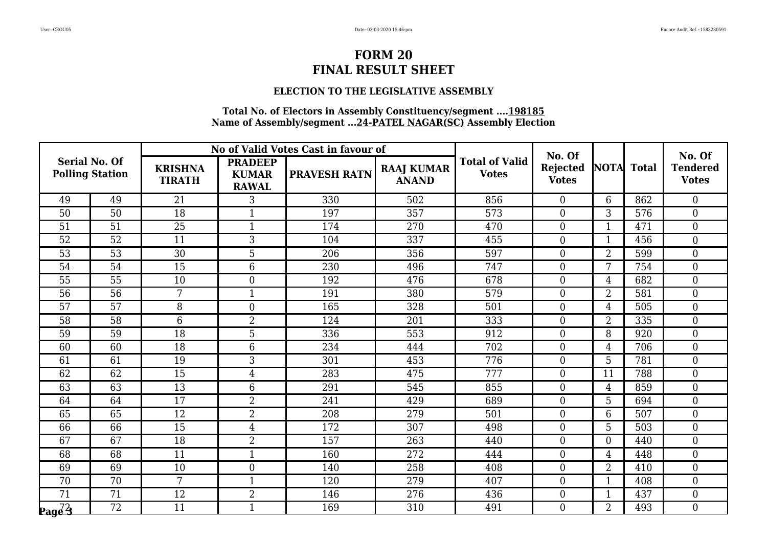### **ELECTION TO THE LEGISLATIVE ASSEMBLY**

|                      |                        |                                 |                                                | No of Valid Votes Cast in favour of |                                   |                                       | No. Of                          |                |     | No. Of                          |
|----------------------|------------------------|---------------------------------|------------------------------------------------|-------------------------------------|-----------------------------------|---------------------------------------|---------------------------------|----------------|-----|---------------------------------|
| <b>Serial No. Of</b> | <b>Polling Station</b> | <b>KRISHNA</b><br><b>TIRATH</b> | <b>PRADEEP</b><br><b>KUMAR</b><br><b>RAWAL</b> | <b>PRAVESH RATN</b>                 | <b>RAAJ KUMAR</b><br><b>ANAND</b> | <b>Total of Valid</b><br><b>Votes</b> | <b>Rejected</b><br><b>Votes</b> | NOTA Total     |     | <b>Tendered</b><br><b>Votes</b> |
| 49                   | 49                     | 21                              | 3                                              | 330                                 | 502                               | 856                                   | $\Omega$                        | 6              | 862 | $\overline{0}$                  |
| 50                   | 50                     | 18                              |                                                | 197                                 | 357                               | 573                                   | $\overline{0}$                  | 3              | 576 | $\overline{0}$                  |
| 51                   | 51                     | 25                              |                                                | 174                                 | 270                               | 470                                   | $\boldsymbol{0}$                |                | 471 | $\overline{0}$                  |
| 52                   | 52                     | 11                              | 3                                              | 104                                 | 337                               | 455                                   | $\overline{0}$                  | $\mathbf{1}$   | 456 | $\overline{0}$                  |
| 53                   | 53                     | 30                              | 5                                              | 206                                 | 356                               | 597                                   | $\overline{0}$                  | $\overline{2}$ | 599 | $\overline{0}$                  |
| 54                   | 54                     | 15                              | 6                                              | 230                                 | 496                               | 747                                   | $\overline{0}$                  | 7              | 754 | $\overline{0}$                  |
| 55                   | 55                     | 10                              | $\Omega$                                       | 192                                 | 476                               | 678                                   | $\overline{0}$                  | 4              | 682 | $\overline{0}$                  |
| 56                   | 56                     | 7                               |                                                | 191                                 | 380                               | 579                                   | $\boldsymbol{0}$                | $\overline{2}$ | 581 | $\boldsymbol{0}$                |
| 57                   | 57                     | 8                               | $\overline{0}$                                 | 165                                 | 328                               | 501                                   | $\overline{0}$                  | 4              | 505 | $\overline{0}$                  |
| 58                   | 58                     | 6                               | $\overline{2}$                                 | 124                                 | 201                               | 333                                   | $\overline{0}$                  | $\overline{2}$ | 335 | $\overline{0}$                  |
| 59                   | 59                     | 18                              | 5                                              | 336                                 | 553                               | 912                                   | $\overline{0}$                  | 8              | 920 | $\overline{0}$                  |
| 60                   | 60                     | 18                              | 6                                              | 234                                 | 444                               | 702                                   | $\boldsymbol{0}$                | $\overline{4}$ | 706 | $\overline{0}$                  |
| 61                   | 61                     | 19                              | 3                                              | 301                                 | 453                               | 776                                   | $\overline{0}$                  | 5              | 781 | $\overline{0}$                  |
| 62                   | 62                     | $\overline{15}$                 | $\overline{4}$                                 | 283                                 | 475                               | 777                                   | $\overline{0}$                  | 11             | 788 | $\overline{0}$                  |
| 63                   | 63                     | 13                              | 6                                              | 291                                 | 545                               | 855                                   | $\boldsymbol{0}$                | 4              | 859 | $\overline{0}$                  |
| 64                   | 64                     | 17                              | $\overline{2}$                                 | 241                                 | 429                               | 689                                   | $\Omega$                        | 5              | 694 | $\overline{0}$                  |
| 65                   | 65                     | 12                              | $\overline{2}$                                 | 208                                 | 279                               | 501                                   | $\overline{0}$                  | 6              | 507 | $\overline{0}$                  |
| 66                   | 66                     | 15                              | $\overline{4}$                                 | 172                                 | 307                               | 498                                   | $\boldsymbol{0}$                | 5              | 503 | $\boldsymbol{0}$                |
| 67                   | 67                     | $\overline{18}$                 | $\overline{2}$                                 | 157                                 | 263                               | 440                                   | $\overline{0}$                  | $\Omega$       | 440 | $\overline{0}$                  |
| 68                   | 68                     | 11                              |                                                | 160                                 | 272                               | 444                                   | $\overline{0}$                  | 4              | 448 | $\overline{0}$                  |
| 69                   | 69                     | 10                              | $\overline{0}$                                 | 140                                 | 258                               | 408                                   | $\overline{0}$                  | $\overline{2}$ | 410 | $\overline{0}$                  |
| 70                   | 70                     | 7                               | $\mathbf{1}$                                   | 120                                 | 279                               | 407                                   | $\overline{0}$                  | 1              | 408 | $\overline{0}$                  |
| 71                   | 71                     | 12                              | $\overline{2}$                                 | 146                                 | 276                               | 436                                   | $\boldsymbol{0}$                |                | 437 | $\boldsymbol{0}$                |
| $\log\overline{33}$  | $\overline{72}$        | 11                              |                                                | 169                                 | 310                               | 491                                   | $\overline{0}$                  | $\overline{2}$ | 493 | $\boldsymbol{0}$                |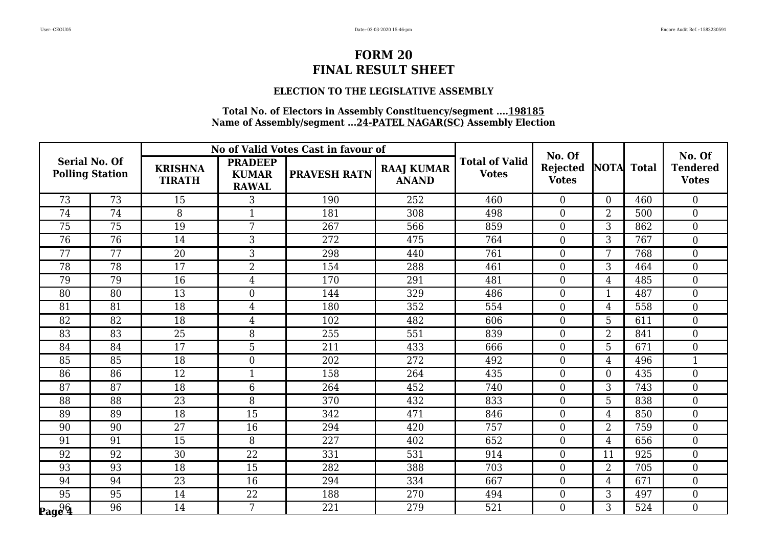### **ELECTION TO THE LEGISLATIVE ASSEMBLY**

|                                                     |                        |                                 |                                                | No of Valid Votes Cast in favour of |                                   |                                       | No. Of                          |                |     | No. Of                          |
|-----------------------------------------------------|------------------------|---------------------------------|------------------------------------------------|-------------------------------------|-----------------------------------|---------------------------------------|---------------------------------|----------------|-----|---------------------------------|
| <b>Serial No. Of</b>                                | <b>Polling Station</b> | <b>KRISHNA</b><br><b>TIRATH</b> | <b>PRADEEP</b><br><b>KUMAR</b><br><b>RAWAL</b> | <b>PRAVESH RATN</b>                 | <b>RAAJ KUMAR</b><br><b>ANAND</b> | <b>Total of Valid</b><br><b>Votes</b> | <b>Rejected</b><br><b>Votes</b> | NOTA Total     |     | <b>Tendered</b><br><b>Votes</b> |
| 73                                                  | 73                     | 15                              | 3                                              | 190                                 | 252                               | 460                                   | $\Omega$                        | $\Omega$       | 460 | $\overline{0}$                  |
| 74                                                  | 74                     | 8                               |                                                | 181                                 | 308                               | 498                                   | $\overline{0}$                  | $\overline{2}$ | 500 | $\overline{0}$                  |
| 75                                                  | 75                     | 19                              | 7                                              | 267                                 | 566                               | 859                                   | $\boldsymbol{0}$                | 3              | 862 | $\overline{0}$                  |
| 76                                                  | 76                     | 14                              | 3                                              | 272                                 | 475                               | 764                                   | $\overline{0}$                  | 3              | 767 | $\overline{0}$                  |
| 77                                                  | 77                     | 20                              | 3                                              | 298                                 | 440                               | 761                                   | $\overline{0}$                  |                | 768 | $\overline{0}$                  |
| 78                                                  | 78                     | 17                              | $\overline{2}$                                 | 154                                 | 288                               | 461                                   | $\overline{0}$                  | 3              | 464 | $\overline{0}$                  |
| 79                                                  | 79                     | 16                              | $\overline{4}$                                 | 170                                 | 291                               | 481                                   | $\overline{0}$                  | $\overline{4}$ | 485 | $\overline{0}$                  |
| 80                                                  | 80                     | 13                              | $\overline{0}$                                 | 144                                 | 329                               | 486                                   | $\overline{0}$                  |                | 487 | $\boldsymbol{0}$                |
| 81                                                  | 81                     | 18                              | $\overline{4}$                                 | 180                                 | 352                               | 554                                   | $\overline{0}$                  | 4              | 558 | $\overline{0}$                  |
| 82                                                  | 82                     | 18                              | $\overline{4}$                                 | 102                                 | 482                               | 606                                   | $\overline{0}$                  | 5              | 611 | $\overline{0}$                  |
| 83                                                  | 83                     | 25                              | 8                                              | 255                                 | 551                               | 839                                   | $\overline{0}$                  | $\overline{2}$ | 841 | $\overline{0}$                  |
| 84                                                  | 84                     | 17                              | 5                                              | 211                                 | 433                               | 666                                   | $\overline{0}$                  | 5              | 671 | $\overline{0}$                  |
| 85                                                  | 85                     | 18                              | $\Omega$                                       | 202                                 | 272                               | 492                                   | $\overline{0}$                  | 4              | 496 | $\mathbf{1}$                    |
| 86                                                  | 86                     | 12                              | $\mathbf{1}$                                   | 158                                 | 264                               | 435                                   | $\overline{0}$                  | $\Omega$       | 435 | $\overline{0}$                  |
| 87                                                  | 87                     | 18                              | 6                                              | 264                                 | 452                               | 740                                   | $\boldsymbol{0}$                | 3              | 743 | $\overline{0}$                  |
| 88                                                  | 88                     | 23                              | 8                                              | 370                                 | 432                               | 833                                   | $\Omega$                        | 5              | 838 | $\overline{0}$                  |
| 89                                                  | 89                     | 18                              | 15                                             | 342                                 | 471                               | 846                                   | $\overline{0}$                  | 4              | 850 | $\overline{0}$                  |
| 90                                                  | 90                     | 27                              | 16                                             | 294                                 | 420                               | 757                                   | $\boldsymbol{0}$                | $\overline{2}$ | 759 | $\boldsymbol{0}$                |
| 91                                                  | $\overline{91}$        | $\overline{15}$                 | 8                                              | 227                                 | 402                               | 652                                   | $\overline{0}$                  | $\overline{4}$ | 656 | $\overline{0}$                  |
| 92                                                  | 92                     | 30                              | 22                                             | 331                                 | 531                               | 914                                   | $\overline{0}$                  | 11             | 925 | $\overline{0}$                  |
| 93                                                  | 93                     | 18                              | 15                                             | 282                                 | 388                               | 703                                   | $\overline{0}$                  | $\overline{2}$ | 705 | $\overline{0}$                  |
| 94                                                  | 94                     | 23                              | 16                                             | 294                                 | 334                               | 667                                   | $\overline{0}$                  | 4              | 671 | $\overline{0}$                  |
| 95                                                  | 95                     | 14                              | 22                                             | 188                                 | 270                               | 494                                   | $\boldsymbol{0}$                | 3              | 497 | $\boldsymbol{0}$                |
| $\mathbf{p_{ag}}\mathbf{\varrho }\mathbf{\varrho }$ | $\overline{96}$        | 14                              | 7                                              | 221                                 | 279                               | 521                                   | $\overline{0}$                  | 3              | 524 | $\boldsymbol{0}$                |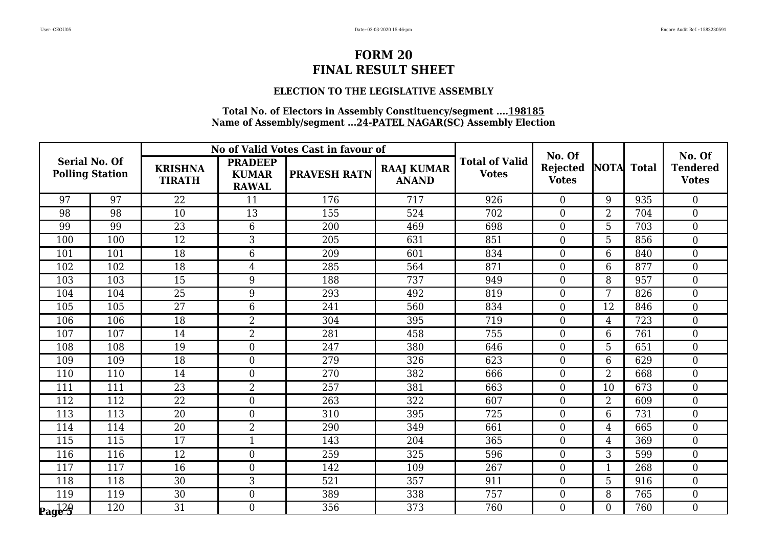### **ELECTION TO THE LEGISLATIVE ASSEMBLY**

|                                                |     |                                 |                                                | No of Valid Votes Cast in favour of |                                   |                                       | No. Of                   |                |              | No. Of                          |
|------------------------------------------------|-----|---------------------------------|------------------------------------------------|-------------------------------------|-----------------------------------|---------------------------------------|--------------------------|----------------|--------------|---------------------------------|
| <b>Serial No. Of</b><br><b>Polling Station</b> |     | <b>KRISHNA</b><br><b>TIRATH</b> | <b>PRADEEP</b><br><b>KUMAR</b><br><b>RAWAL</b> | <b>PRAVESH RATN</b>                 | <b>RAAJ KUMAR</b><br><b>ANAND</b> | <b>Total of Valid</b><br><b>Votes</b> | Rejected<br><b>Votes</b> | <b>NOTA</b>    | <b>Total</b> | <b>Tendered</b><br><b>Votes</b> |
| 97                                             | 97  | 22                              | 11                                             | 176                                 | 717                               | 926                                   | $\Omega$                 | 9              | 935          | $\overline{0}$                  |
| 98                                             | 98  | 10                              | 13                                             | 155                                 | 524                               | 702                                   | $\overline{0}$           | $\overline{2}$ | 704          | $\overline{0}$                  |
| 99                                             | 99  | 23                              | 6                                              | 200                                 | 469                               | 698                                   | $\boldsymbol{0}$         | 5              | 703          | $\boldsymbol{0}$                |
| 100                                            | 100 | 12                              | 3                                              | 205                                 | 631                               | 851                                   | $\theta$                 | 5              | 856          | $\Omega$                        |
| 101                                            | 101 | 18                              | 6                                              | 209                                 | 601                               | 834                                   | $\overline{0}$           | 6              | 840          | $\overline{0}$                  |
| 102                                            | 102 | 18                              | $\overline{4}$                                 | 285                                 | 564                               | 871                                   | $\overline{0}$           | 6              | 877          | $\overline{0}$                  |
| 103                                            | 103 | 15                              | 9                                              | 188                                 | 737                               | 949                                   | $\theta$                 | 8              | 957          | $\overline{0}$                  |
| 104                                            | 104 | 25                              | 9                                              | 293                                 | 492                               | 819                                   | $\boldsymbol{0}$         | 7              | 826          | $\overline{0}$                  |
| 105                                            | 105 | $\overline{27}$                 | $6\phantom{1}$                                 | 241                                 | 560                               | 834                                   | $\overline{0}$           | 12             | 846          | $\overline{0}$                  |
| 106                                            | 106 | 18                              | $\overline{2}$                                 | 304                                 | 395                               | 719                                   | $\overline{0}$           | 4              | 723          | $\overline{0}$                  |
| 107                                            | 107 | 14                              | $\overline{2}$                                 | 281                                 | 458                               | 755                                   | $\overline{0}$           | 6              | 761          | $\overline{0}$                  |
| 108                                            | 108 | 19                              | $\overline{0}$                                 | 247                                 | 380                               | 646                                   | $\overline{0}$           | 5              | 651          | $\overline{0}$                  |
| 109                                            | 109 | 18                              | $\overline{0}$                                 | 279                                 | 326                               | 623                                   | $\overline{0}$           | 6              | 629          | $\overline{0}$                  |
| 110                                            | 110 | 14                              | $\overline{0}$                                 | 270                                 | 382                               | 666                                   | $\overline{0}$           | $\overline{2}$ | 668          | $\overline{0}$                  |
| 111                                            | 111 | 23                              | $\overline{2}$                                 | 257                                 | 381                               | 663                                   | $\boldsymbol{0}$         | 10             | 673          | $\overline{0}$                  |
| 112                                            | 112 | 22                              | $\Omega$                                       | 263                                 | 322                               | 607                                   | $\theta$                 | $\overline{2}$ | 609          | $\Omega$                        |
| 113                                            | 113 | $\overline{20}$                 | $\overline{0}$                                 | 310                                 | 395                               | 725                                   | $\overline{0}$           | 6              | 731          | $\Omega$                        |
| 114                                            | 114 | 20                              | $\overline{2}$                                 | 290                                 | 349                               | 661                                   | $\boldsymbol{0}$         | 4              | 665          | $\overline{0}$                  |
| 115                                            | 115 | 17                              | $\mathbf{1}$                                   | 143                                 | 204                               | 365                                   | $\overline{0}$           | 4              | 369          | $\Omega$                        |
| 116                                            | 116 | 12                              | $\overline{0}$                                 | 259                                 | 325                               | 596                                   | $\overline{0}$           | 3              | 599          | $\overline{0}$                  |
| 117                                            | 117 | 16                              | $\overline{0}$                                 | 142                                 | 109                               | 267                                   | $\overline{0}$           |                | 268          | $\overline{0}$                  |
| 118                                            | 118 | 30                              | 3                                              | 521                                 | 357                               | 911                                   | $\overline{0}$           | 5              | 916          | $\overline{0}$                  |
| 119                                            | 119 | 30                              | $\overline{0}$                                 | 389                                 | 338                               | 757                                   | $\boldsymbol{0}$         | 8              | 765          | $\overline{0}$                  |
| $\mathbf{p_{ag}429}$                           | 120 | $\overline{31}$                 | $\overline{0}$                                 | 356                                 | 373                               | 760                                   | $\overline{0}$           | $\Omega$       | 760          | 0                               |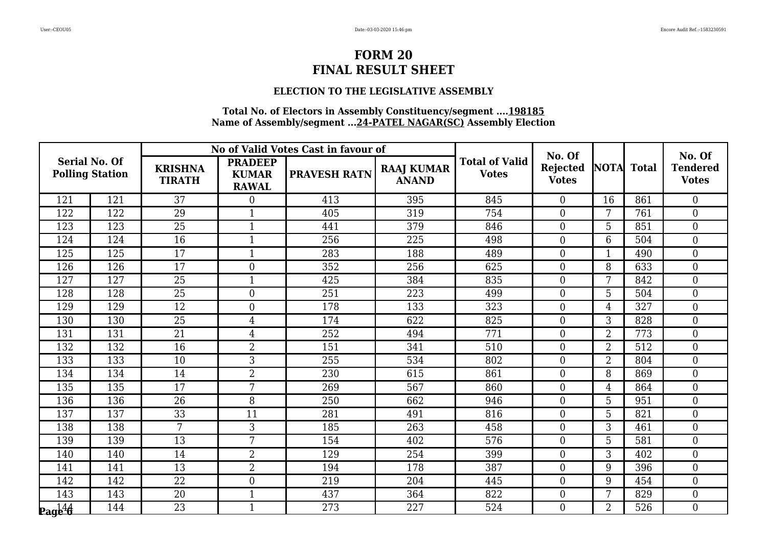### **ELECTION TO THE LEGISLATIVE ASSEMBLY**

|                      |                        |                                 |                                                | No of Valid Votes Cast in favour of |                                   |                                       | No. Of                          |                |     | No. Of                          |
|----------------------|------------------------|---------------------------------|------------------------------------------------|-------------------------------------|-----------------------------------|---------------------------------------|---------------------------------|----------------|-----|---------------------------------|
| <b>Serial No. Of</b> | <b>Polling Station</b> | <b>KRISHNA</b><br><b>TIRATH</b> | <b>PRADEEP</b><br><b>KUMAR</b><br><b>RAWAL</b> | <b>PRAVESH RATN</b>                 | <b>RAAJ KUMAR</b><br><b>ANAND</b> | <b>Total of Valid</b><br><b>Votes</b> | <b>Rejected</b><br><b>Votes</b> | NOTA Total     |     | <b>Tendered</b><br><b>Votes</b> |
| 121                  | 121                    | 37                              | $\overline{0}$                                 | 413                                 | 395                               | 845                                   | $\Omega$                        | 16             | 861 | $\overline{0}$                  |
| 122                  | 122                    | 29                              |                                                | 405                                 | 319                               | 754                                   | $\overline{0}$                  |                | 761 | $\overline{0}$                  |
| 123                  | 123                    | 25                              |                                                | 441                                 | 379                               | 846                                   | $\boldsymbol{0}$                | 5              | 851 | $\overline{0}$                  |
| 124                  | 124                    | 16                              | $\mathbf{1}$                                   | 256                                 | 225                               | 498                                   | $\overline{0}$                  | 6              | 504 | $\overline{0}$                  |
| 125                  | 125                    | 17                              |                                                | 283                                 | 188                               | 489                                   | $\overline{0}$                  |                | 490 | $\overline{0}$                  |
| 126                  | 126                    | 17                              | $\overline{0}$                                 | 352                                 | 256                               | 625                                   | $\overline{0}$                  | 8              | 633 | $\overline{0}$                  |
| 127                  | 127                    | 25                              | $\mathbf{1}$                                   | 425                                 | 384                               | 835                                   | $\overline{0}$                  | 7              | 842 | $\overline{0}$                  |
| 128                  | 128                    | 25                              | $\overline{0}$                                 | 251                                 | 223                               | 499                                   | $\overline{0}$                  | 5              | 504 | $\overline{0}$                  |
| 129                  | 129                    | 12                              | $\overline{0}$                                 | 178                                 | 133                               | 323                                   | $\overline{0}$                  | 4              | 327 | $\overline{0}$                  |
| 130                  | 130                    | 25                              | $\overline{4}$                                 | 174                                 | 622                               | 825                                   | $\overline{0}$                  | 3              | 828 | $\overline{0}$                  |
| 131                  | 131                    | 21                              | $\overline{4}$                                 | 252                                 | 494                               | 771                                   | $\overline{0}$                  | $\overline{2}$ | 773 | $\overline{0}$                  |
| 132                  | 132                    | 16                              | $\overline{2}$                                 | 151                                 | 341                               | 510                                   | $\overline{0}$                  | $\overline{2}$ | 512 | $\overline{0}$                  |
| 133                  | 133                    | 10                              | 3                                              | 255                                 | 534                               | 802                                   | $\overline{0}$                  | $\overline{2}$ | 804 | $\Omega$                        |
| 134                  | 134                    | 14                              | $\overline{2}$                                 | 230                                 | 615                               | 861                                   | $\overline{0}$                  | 8              | 869 | $\Omega$                        |
| 135                  | 135                    | 17                              | 7                                              | 269                                 | 567                               | 860                                   | $\boldsymbol{0}$                | 4              | 864 | $\overline{0}$                  |
| 136                  | 136                    | 26                              | 8                                              | 250                                 | 662                               | 946                                   | $\Omega$                        | 5              | 951 | $\overline{0}$                  |
| 137                  | 137                    | 33                              | 11                                             | 281                                 | 491                               | 816                                   | $\overline{0}$                  | 5              | 821 | $\overline{0}$                  |
| 138                  | 138                    | 7                               | 3                                              | 185                                 | 263                               | 458                                   | $\boldsymbol{0}$                | 3              | 461 | $\boldsymbol{0}$                |
| 139                  | 139                    | $\overline{13}$                 | $\overline{7}$                                 | 154                                 | 402                               | 576                                   | $\overline{0}$                  | 5              | 581 | $\overline{0}$                  |
| 140                  | 140                    | 14                              | $\overline{2}$                                 | 129                                 | 254                               | 399                                   | $\overline{0}$                  | 3              | 402 | $\overline{0}$                  |
| 141                  | 141                    | 13                              | $\overline{2}$                                 | 194                                 | 178                               | 387                                   | $\overline{0}$                  | 9              | 396 | $\overline{0}$                  |
| 142                  | 142                    | 22                              | $\overline{0}$                                 | 219                                 | 204                               | 445                                   | $\overline{0}$                  | 9              | 454 | $\overline{0}$                  |
| 143                  | 143                    | 20                              |                                                | 437                                 | 364                               | 822                                   | $\boldsymbol{0}$                |                | 829 | $\boldsymbol{0}$                |
| $\mathbf{p_{agb4}}$  | 144                    | $\overline{23}$                 |                                                | 273                                 | 227                               | 524                                   | $\overline{0}$                  | $\overline{2}$ | 526 | $\boldsymbol{0}$                |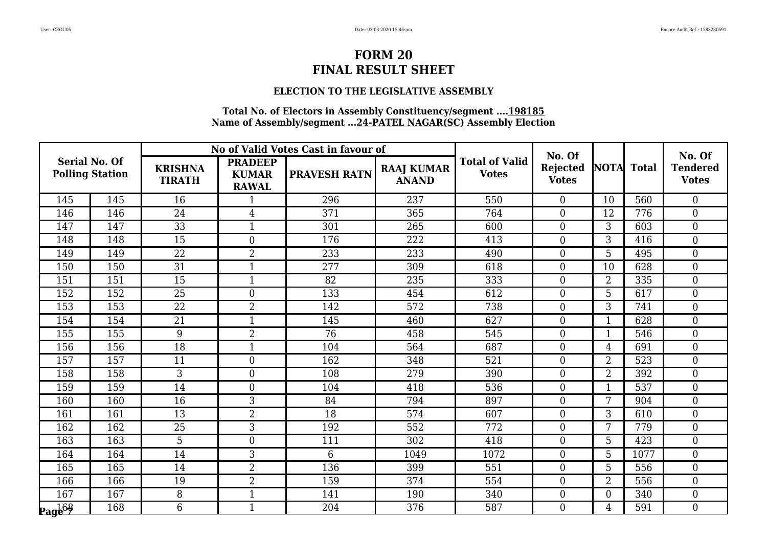### **ELECTION TO THE LEGISLATIVE ASSEMBLY**

|                                                |     |                                 |                                                | No of Valid Votes Cast in favour of |                                   |                                       | No. Of                          |                |      | No. Of                          |
|------------------------------------------------|-----|---------------------------------|------------------------------------------------|-------------------------------------|-----------------------------------|---------------------------------------|---------------------------------|----------------|------|---------------------------------|
| <b>Serial No. Of</b><br><b>Polling Station</b> |     | <b>KRISHNA</b><br><b>TIRATH</b> | <b>PRADEEP</b><br><b>KUMAR</b><br><b>RAWAL</b> | <b>PRAVESH RATN</b>                 | <b>RAAJ KUMAR</b><br><b>ANAND</b> | <b>Total of Valid</b><br><b>Votes</b> | <b>Rejected</b><br><b>Votes</b> | NOTA Total     |      | <b>Tendered</b><br><b>Votes</b> |
| 145                                            | 145 | 16                              | 1                                              | 296                                 | 237                               | 550                                   | $\Omega$                        | 10             | 560  | $\overline{0}$                  |
| 146                                            | 146 | 24                              | $\overline{4}$                                 | 371                                 | 365                               | 764                                   | $\overline{0}$                  | 12             | 776  | $\overline{0}$                  |
| 147                                            | 147 | 33                              |                                                | 301                                 | 265                               | 600                                   | $\overline{0}$                  | 3              | 603  | $\overline{0}$                  |
| 148                                            | 148 | 15                              | $\theta$                                       | 176                                 | 222                               | 413                                   | $\Omega$                        | 3              | 416  | $\Omega$                        |
| 149                                            | 149 | 22                              | $\overline{2}$                                 | 233                                 | 233                               | 490                                   | $\theta$                        | 5              | 495  | $\overline{0}$                  |
| 150                                            | 150 | 31                              |                                                | 277                                 | 309                               | 618                                   | $\overline{0}$                  | 10             | 628  | $\overline{0}$                  |
| 151                                            | 151 | 15                              | $\mathbf{1}$                                   | 82                                  | 235                               | 333                                   | $\Omega$                        | $\overline{2}$ | 335  | $\overline{0}$                  |
| 152                                            | 152 | 25                              | $\overline{0}$                                 | 133                                 | 454                               | 612                                   | $\theta$                        | 5              | 617  | $\overline{0}$                  |
| 153                                            | 153 | 22                              | $\overline{2}$                                 | 142                                 | 572                               | 738                                   | $\theta$                        | 3              | 741  | $\overline{0}$                  |
| 154                                            | 154 | 21                              | $\mathbf{1}$                                   | 145                                 | 460                               | 627                                   | $\Omega$                        | $\mathbf{1}$   | 628  | $\overline{0}$                  |
| 155                                            | 155 | 9                               | $\overline{2}$                                 | 76                                  | 458                               | 545                                   | $\overline{0}$                  |                | 546  | $\overline{0}$                  |
| 156                                            | 156 | 18                              | 1                                              | 104                                 | 564                               | 687                                   | $\overline{0}$                  | 4              | 691  | $\overline{0}$                  |
| 157                                            | 157 | 11                              | $\overline{0}$                                 | 162                                 | 348                               | 521                                   | $\theta$                        | $\overline{2}$ | 523  | $\overline{0}$                  |
| 158                                            | 158 | 3                               | $\Omega$                                       | 108                                 | 279                               | 390                                   | $\Omega$                        | $\overline{2}$ | 392  | $\overline{0}$                  |
| 159                                            | 159 | 14                              | $\overline{0}$                                 | 104                                 | 418                               | 536                                   | $\overline{0}$                  |                | 537  | $\overline{0}$                  |
| 160                                            | 160 | 16                              | 3                                              | 84                                  | 794                               | 897                                   | $\Omega$                        | 7              | 904  | $\Omega$                        |
| 161                                            | 161 | 13                              | $\overline{2}$                                 | 18                                  | 574                               | 607                                   | $\theta$                        | 3              | 610  | $\overline{0}$                  |
| 162                                            | 162 | $\overline{25}$                 | 3                                              | 192                                 | 552                               | 772                                   | $\mathbf{0}$                    | 7              | 779  | $\overline{0}$                  |
| 163                                            | 163 | 5                               | $\overline{0}$                                 | 111                                 | 302                               | 418                                   | $\Omega$                        | 5              | 423  | $\Omega$                        |
| 164                                            | 164 | 14                              | 3                                              | 6                                   | 1049                              | 1072                                  | $\theta$                        | 5              | 1077 | $\overline{0}$                  |
| 165                                            | 165 | 14                              | $\overline{2}$                                 | 136                                 | 399                               | 551                                   | $\overline{0}$                  | 5              | 556  | $\overline{0}$                  |
| 166                                            | 166 | 19                              | $\overline{2}$                                 | 159                                 | 374                               | 554                                   | $\theta$                        | $\overline{2}$ | 556  | $\overline{0}$                  |
| 167                                            | 167 | 8                               |                                                | 141                                 | 190                               | 340                                   | $\theta$                        | $\theta$       | 340  | $\overline{0}$                  |
| $\mathbf{Page}^{63}$                           | 168 | 6                               |                                                | 204                                 | 376                               | 587                                   | $\theta$                        | 4              | 591  | $\overline{0}$                  |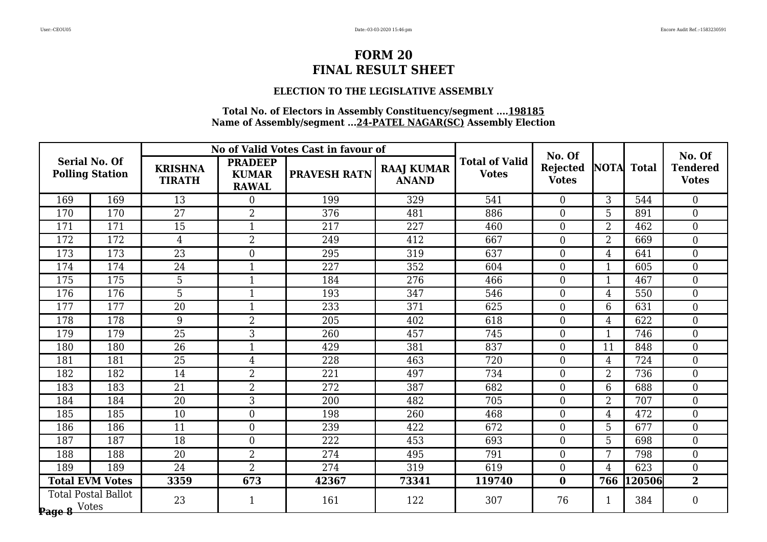### **ELECTION TO THE LEGISLATIVE ASSEMBLY**

|                      |                            |                                 |                                                | No of Valid Votes Cast in favour of |                                   |                                       | No. Of                   |                |            | No. Of                          |
|----------------------|----------------------------|---------------------------------|------------------------------------------------|-------------------------------------|-----------------------------------|---------------------------------------|--------------------------|----------------|------------|---------------------------------|
| <b>Serial No. Of</b> | <b>Polling Station</b>     | <b>KRISHNA</b><br><b>TIRATH</b> | <b>PRADEEP</b><br><b>KUMAR</b><br><b>RAWAL</b> | <b>PRAVESH RATN</b>                 | <b>RAAJ KUMAR</b><br><b>ANAND</b> | <b>Total of Valid</b><br><b>Votes</b> | Rejected<br><b>Votes</b> |                | NOTA Total | <b>Tendered</b><br><b>Votes</b> |
| 169                  | 169                        | 13                              | $\Omega$                                       | 199                                 | 329                               | 541                                   | $\Omega$                 | 3              | 544        | $\Omega$                        |
| 170                  | 170                        | 27                              | $\overline{2}$                                 | 376                                 | 481                               | 886                                   | $\overline{0}$           | 5              | 891        | $\overline{0}$                  |
| 171                  | 171                        | 15                              |                                                | 217                                 | 227                               | 460                                   | $\overline{0}$           | $\overline{2}$ | 462        | $\overline{0}$                  |
| 172                  | 172                        | $\overline{4}$                  | $\overline{2}$                                 | 249                                 | 412                               | 667                                   | $\overline{0}$           | $\overline{2}$ | 669        | $\overline{0}$                  |
| 173                  | 173                        | $\overline{23}$                 | $\overline{0}$                                 | 295                                 | 319                               | 637                                   | $\overline{0}$           | 4              | 641        | $\overline{0}$                  |
| 174                  | 174                        | 24                              |                                                | 227                                 | 352                               | 604                                   | $\boldsymbol{0}$         |                | 605        | $\boldsymbol{0}$                |
| 175                  | 175                        | 5                               | $\mathbf{1}$                                   | 184                                 | 276                               | 466                                   | $\overline{0}$           | 1              | 467        | $\overline{0}$                  |
| 176                  | 176                        | 5                               | $\mathbf{1}$                                   | 193                                 | 347                               | 546                                   | $\overline{0}$           | 4              | 550        | $\overline{0}$                  |
| 177                  | 177                        | $\overline{20}$                 |                                                | 233                                 | 371                               | 625                                   | $\overline{0}$           | 6              | 631        | $\overline{0}$                  |
| 178                  | 178                        | 9                               | $\overline{2}$                                 | 205                                 | 402                               | 618                                   | $\overline{0}$           | $\overline{4}$ | 622        | $\overline{0}$                  |
| 179                  | 179                        | 25                              | 3                                              | 260                                 | 457                               | 745                                   | $\overline{0}$           |                | 746        | $\overline{0}$                  |
| 180                  | 180                        | 26                              |                                                | 429                                 | 381                               | 837                                   | $\overline{0}$           | 11             | 848        | $\overline{0}$                  |
| 181                  | 181                        | 25                              | $\overline{4}$                                 | 228                                 | 463                               | 720                                   | $\boldsymbol{0}$         | $\overline{4}$ | 724        | $\overline{0}$                  |
| 182                  | 182                        | 14                              | $\overline{2}$                                 | 221                                 | 497                               | 734                                   | $\overline{0}$           | $\overline{2}$ | 736        | $\overline{0}$                  |
| 183                  | 183                        | 21                              | $\overline{2}$                                 | 272                                 | 387                               | 682                                   | $\overline{0}$           | 6              | 688        | $\overline{0}$                  |
| 184                  | 184                        | 20                              | 3                                              | 200                                 | 482                               | 705                                   | $\boldsymbol{0}$         | $\overline{2}$ | 707        | $\overline{0}$                  |
| 185                  | 185                        | 10                              | $\overline{0}$                                 | 198                                 | 260                               | 468                                   | $\overline{0}$           | 4              | 472        | $\overline{0}$                  |
| 186                  | 186                        | 11                              | $\Omega$                                       | 239                                 | 422                               | 672                                   | $\theta$                 | 5              | 677        | $\overline{0}$                  |
| 187                  | 187                        | 18                              | $\overline{0}$                                 | 222                                 | 453                               | 693                                   | $\theta$                 | 5              | 698        | $\overline{0}$                  |
| 188                  | 188                        | 20                              | $\overline{2}$                                 | 274                                 | 495                               | 791                                   | $\overline{0}$           | 7              | 798        | $\overline{0}$                  |
| 189                  | 189                        | 24                              | $\overline{2}$                                 | 274                                 | 319                               | 619                                   | $\theta$                 | 4              | 623        | $\overline{0}$                  |
|                      | <b>Total EVM Votes</b>     | 3359                            | 673                                            | 42367                               | 73341                             | 119740                                | $\bf{0}$                 | 766            | 120506     | $\overline{2}$                  |
| Page 8 Votes         | <b>Total Postal Ballot</b> | 23                              |                                                | 161                                 | 122                               | 307                                   | 76                       |                | 384        | $\boldsymbol{0}$                |